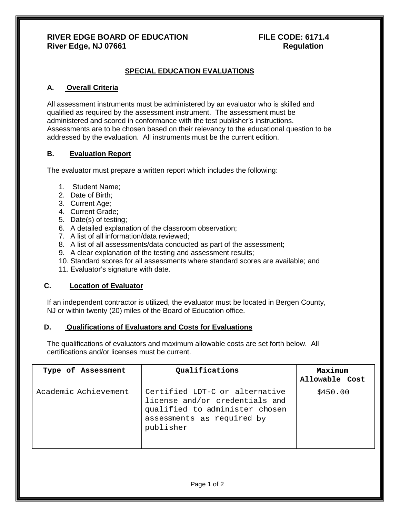# **RIVER EDGE BOARD OF EDUCATION FILE CODE: 6171.4** River Edge, NJ 07661 **River Edge, NJ 07661**

# **SPECIAL EDUCATION EVALUATIONS**

### **A. Overall Criteria**

All assessment instruments must be administered by an evaluator who is skilled and qualified as required by the assessment instrument. The assessment must be administered and scored in conformance with the test publisher's instructions. Assessments are to be chosen based on their relevancy to the educational question to be addressed by the evaluation. All instruments must be the current edition.

### **B. Evaluation Report**

The evaluator must prepare a written report which includes the following:

- 1. Student Name;
- 2. Date of Birth;
- 3. Current Age;
- 4. Current Grade;
- 5. Date(s) of testing;
- 6. A detailed explanation of the classroom observation;
- 7. A list of all information/data reviewed;
- 8. A list of all assessments/data conducted as part of the assessment;
- 9. A clear explanation of the testing and assessment results;
- 10. Standard scores for all assessments where standard scores are available; and
- 11. Evaluator's signature with date.

# **C. Location of Evaluator**

If an independent contractor is utilized, the evaluator must be located in Bergen County, NJ or within twenty (20) miles of the Board of Education office.

#### **D. Qualifications of Evaluators and Costs for Evaluations**

The qualifications of evaluators and maximum allowable costs are set forth below. All certifications and/or licenses must be current.

| Type of Assessment   | Qualifications                                                                                                                                | Maximum<br>Allowable Cost |
|----------------------|-----------------------------------------------------------------------------------------------------------------------------------------------|---------------------------|
| Academic Achievement | Certified LDT-C or alternative<br>license and/or credentials and<br>qualified to administer chosen<br>assessments as required by<br>publisher | \$450.00                  |